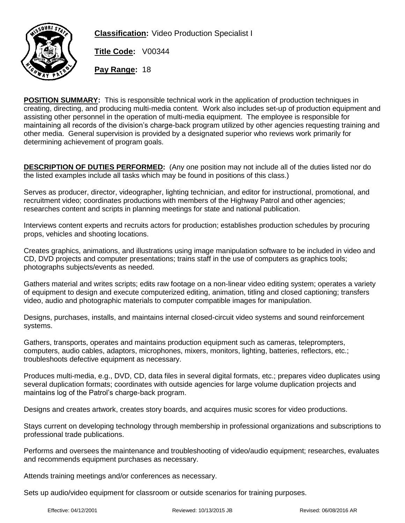

**Classification:** Video Production Specialist I

**Title Code:** V00344

**Pay Range:** 18

**POSITION SUMMARY:** This is responsible technical work in the application of production techniques in creating, directing, and producing multi-media content. Work also includes set-up of production equipment and assisting other personnel in the operation of multi-media equipment. The employee is responsible for maintaining all records of the division's charge-back program utilized by other agencies requesting training and other media. General supervision is provided by a designated superior who reviews work primarily for determining achievement of program goals.

**DESCRIPTION OF DUTIES PERFORMED:** (Any one position may not include all of the duties listed nor do the listed examples include all tasks which may be found in positions of this class.)

Serves as producer, director, videographer, lighting technician, and editor for instructional, promotional, and recruitment video; coordinates productions with members of the Highway Patrol and other agencies; researches content and scripts in planning meetings for state and national publication.

Interviews content experts and recruits actors for production; establishes production schedules by procuring props, vehicles and shooting locations.

Creates graphics, animations, and illustrations using image manipulation software to be included in video and CD, DVD projects and computer presentations; trains staff in the use of computers as graphics tools; photographs subjects/events as needed.

Gathers material and writes scripts; edits raw footage on a non-linear video editing system; operates a variety of equipment to design and execute computerized editing, animation, titling and closed captioning; transfers video, audio and photographic materials to computer compatible images for manipulation.

Designs, purchases, installs, and maintains internal closed-circuit video systems and sound reinforcement systems.

Gathers, transports, operates and maintains production equipment such as cameras, teleprompters, computers, audio cables, adaptors, microphones, mixers, monitors, lighting, batteries, reflectors, etc.; troubleshoots defective equipment as necessary.

Produces multi-media, e.g., DVD, CD, data files in several digital formats, etc.; prepares video duplicates using several duplication formats; coordinates with outside agencies for large volume duplication projects and maintains log of the Patrol's charge-back program.

Designs and creates artwork, creates story boards, and acquires music scores for video productions.

Stays current on developing technology through membership in professional organizations and subscriptions to professional trade publications.

Performs and oversees the maintenance and troubleshooting of video/audio equipment; researches, evaluates and recommends equipment purchases as necessary.

Attends training meetings and/or conferences as necessary.

Sets up audio/video equipment for classroom or outside scenarios for training purposes.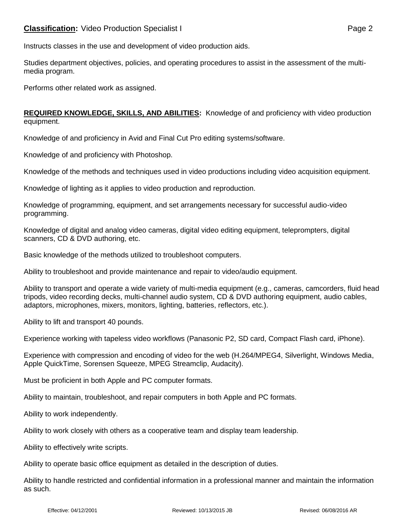Instructs classes in the use and development of video production aids.

Studies department objectives, policies, and operating procedures to assist in the assessment of the multimedia program.

Performs other related work as assigned.

**REQUIRED KNOWLEDGE, SKILLS, AND ABILITIES:** Knowledge of and proficiency with video production equipment.

Knowledge of and proficiency in Avid and Final Cut Pro editing systems/software.

Knowledge of and proficiency with Photoshop.

Knowledge of the methods and techniques used in video productions including video acquisition equipment.

Knowledge of lighting as it applies to video production and reproduction.

Knowledge of programming, equipment, and set arrangements necessary for successful audio-video programming.

Knowledge of digital and analog video cameras, digital video editing equipment, teleprompters, digital scanners, CD & DVD authoring, etc.

Basic knowledge of the methods utilized to troubleshoot computers.

Ability to troubleshoot and provide maintenance and repair to video/audio equipment.

Ability to transport and operate a wide variety of multi-media equipment (e.g., cameras, camcorders, fluid head tripods, video recording decks, multi-channel audio system, CD & DVD authoring equipment, audio cables, adaptors, microphones, mixers, monitors, lighting, batteries, reflectors, etc.).

Ability to lift and transport 40 pounds.

Experience working with tapeless video workflows (Panasonic P2, SD card, Compact Flash card, iPhone).

Experience with compression and encoding of video for the web (H.264/MPEG4, Silverlight, Windows Media, Apple QuickTime, Sorensen Squeeze, MPEG Streamclip, Audacity).

Must be proficient in both Apple and PC computer formats.

Ability to maintain, troubleshoot, and repair computers in both Apple and PC formats.

Ability to work independently.

Ability to work closely with others as a cooperative team and display team leadership.

Ability to effectively write scripts.

Ability to operate basic office equipment as detailed in the description of duties.

Ability to handle restricted and confidential information in a professional manner and maintain the information as such.